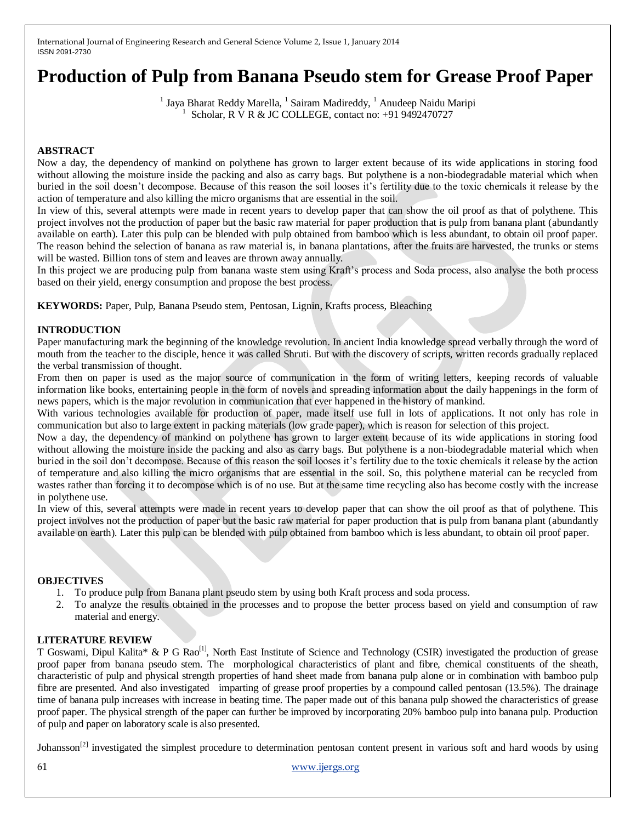# **Production of Pulp from Banana Pseudo stem for Grease Proof Paper**

<sup>1</sup> Jaya Bharat Reddy Marella, <sup>1</sup> Sairam Madireddy, <sup>1</sup> Anudeep Naidu Maripi 1 Scholar, R V R & JC COLLEGE, contact no: +91 9492470727

## **ABSTRACT**

Now a day, the dependency of mankind on polythene has grown to larger extent because of its wide applications in storing food without allowing the moisture inside the packing and also as carry bags. But polythene is a non-biodegradable material which when buried in the soil doesn't decompose. Because of this reason the soil looses it's fertility due to the toxic chemicals it release by the action of temperature and also killing the micro organisms that are essential in the soil.

In view of this, several attempts were made in recent years to develop paper that can show the oil proof as that of polythene. This project involves not the production of paper but the basic raw material for paper production that is pulp from banana plant (abundantly available on earth). Later this pulp can be blended with pulp obtained from bamboo which is less abundant, to obtain oil proof paper. The reason behind the selection of banana as raw material is, in banana plantations, after the fruits are harvested, the trunks or stems will be wasted. Billion tons of stem and leaves are thrown away annually.

In this project we are producing pulp from banana waste stem using Kraft's process and Soda process, also analyse the both process based on their yield, energy consumption and propose the best process.

**KEYWORDS:** Paper, Pulp, Banana Pseudo stem, Pentosan, Lignin, Krafts process, Bleaching

## **INTRODUCTION**

Paper manufacturing mark the beginning of the knowledge revolution. In ancient India knowledge spread verbally through the word of mouth from the teacher to the disciple, hence it was called Shruti. But with the discovery of scripts, written records gradually replaced the verbal transmission of thought.

From then on paper is used as the major source of communication in the form of writing letters, keeping records of valuable information like books, entertaining people in the form of novels and spreading information about the daily happenings in the form of news papers, which is the major revolution in communication that ever happened in the history of mankind.

With various technologies available for production of paper, made itself use full in lots of applications. It not only has role in communication but also to large extent in packing materials (low grade paper), which is reason for selection of this project.

Now a day, the dependency of mankind on polythene has grown to larger extent because of its wide applications in storing food without allowing the moisture inside the packing and also as carry bags. But polythene is a non-biodegradable material which when buried in the soil don't decompose. Because of this reason the soil looses it's fertility due to the toxic chemicals it release by the action of temperature and also killing the micro organisms that are essential in the soil. So, this polythene material can be recycled from wastes rather than forcing it to decompose which is of no use. But at the same time recycling also has become costly with the increase in polythene use.

In view of this, several attempts were made in recent years to develop paper that can show the oil proof as that of polythene. This project involves not the production of paper but the basic raw material for paper production that is pulp from banana plant (abundantly available on earth). Later this pulp can be blended with pulp obtained from bamboo which is less abundant, to obtain oil proof paper.

## **OBJECTIVES**

- 1. To produce pulp from Banana plant pseudo stem by using both Kraft process and soda process.
- 2. To analyze the results obtained in the processes and to propose the better process based on yield and consumption of raw material and energy.

## **LITERATURE REVIEW**

T Goswami, Dipul Kalita\* & P G Rao<sup>[1]</sup>, North East Institute of Science and Technology (CSIR) investigated the production of grease proof paper from banana pseudo stem. The morphological characteristics of plant and fibre, chemical constituents of the sheath, characteristic of pulp and physical strength properties of hand sheet made from banana pulp alone or in combination with bamboo pulp fibre are presented. And also investigated imparting of grease proof properties by a compound called pentosan (13.5%). The drainage time of banana pulp increases with increase in beating time. The paper made out of this banana pulp showed the characteristics of grease proof paper. The physical strength of the paper can further be improved by incorporating 20% bamboo pulp into banana pulp. Production of pulp and paper on laboratory scale is also presented.

Johansson<sup>[2]</sup> investigated the simplest procedure to determination pentosan content present in various soft and hard woods by using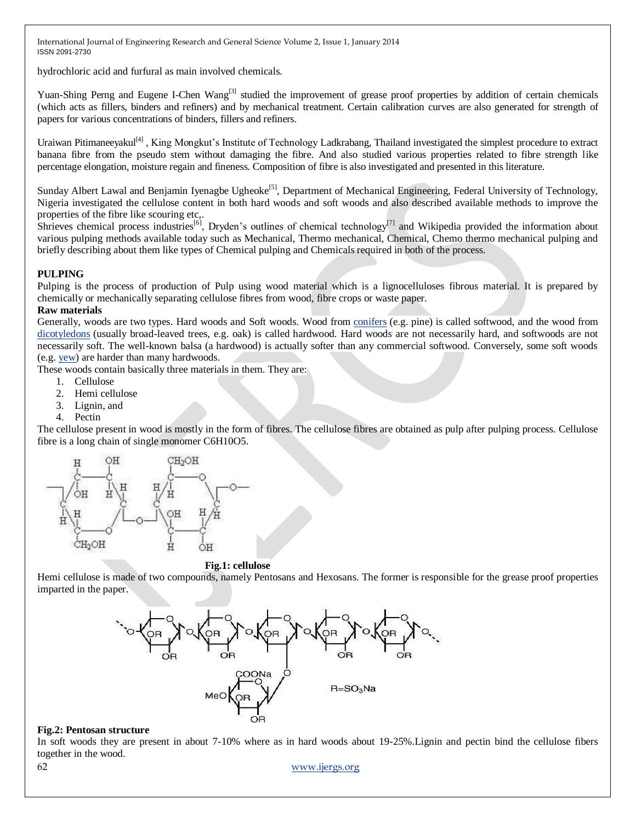hydrochloric acid and furfural as main involved chemicals.

Yuan-Shing Perng and Eugene I-Chen Wang<sup>[3]</sup> studied the improvement of grease proof properties by addition of certain chemicals (which acts as fillers, binders and refiners) and by mechanical treatment. Certain calibration curves are also generated for strength of papers for various concentrations of binders, fillers and refiners.

Uraiwan Pitimaneeyakul<sup>[4]</sup>, King Mongkut's Institute of Technology Ladkrabang, Thailand investigated the simplest procedure to extract banana fibre from the pseudo stem without damaging the fibre. And also studied various properties related to fibre strength like percentage elongation, moisture regain and fineness. Composition of fibre is also investigated and presented in this literature.

Sunday Albert Lawal and Benjamin Iyenagbe Ugheoke<sup>[5]</sup>, Department of Mechanical Engineering, Federal University of Technology, Nigeria investigated the cellulose content in both hard woods and soft woods and also described available methods to improve the properties of the fibre like scouring etc,.

Shrieves chemical process industries<sup>[6]</sup>, Dryden's outlines of chemical technology<sup>[7]</sup> and Wikipedia provided the information about various pulping methods available today such as Mechanical, Thermo mechanical, Chemical, Chemo thermo mechanical pulping and briefly describing about them like types of Chemical pulping and Chemicals required in both of the process.

## **PULPING**

Pulping is the process of production of Pulp using wood material which is a lignocelluloses fibrous material. It is prepared by chemically or mechanically separating cellulose fibres from wood, fibre crops or waste paper.

## **Raw materials**

Generally, woods are two types. Hard woods and Soft woods. Wood from [conifers](http://en.wikipedia.org/wiki/Pinophyta) (e.g. pine) is called softwood, and the wood from [dicotyledons](http://en.wikipedia.org/wiki/Dicotyledons) (usually broad-leaved trees, e.g. oak) is called hardwood. Hard woods are not necessarily hard, and softwoods are not necessarily soft. The well-known balsa (a hardwood) is actually softer than any commercial softwood. Conversely, some soft woods (e.g. [yew\)](http://en.wikipedia.org/wiki/Taxus_baccata) are harder than many hardwoods.

These woods contain basically three materials in them. They are:

- 1. Cellulose
- 2. Hemi cellulose
- 3. Lignin, and
- 4. Pectin

The cellulose present in wood is mostly in the form of fibres. The cellulose fibres are obtained as pulp after pulping process. Cellulose fibre is a long chain of single monomer C6H10O5.



 **Fig.1: cellulose**

Hemi cellulose is made of two compounds, namely Pentosans and Hexosans. The former is responsible for the grease proof properties imparted in the paper.



#### **Fig.2: Pentosan structure**

In soft woods they are present in about 7-10% where as in hard woods about 19-25%.Lignin and pectin bind the cellulose fibers together in the wood.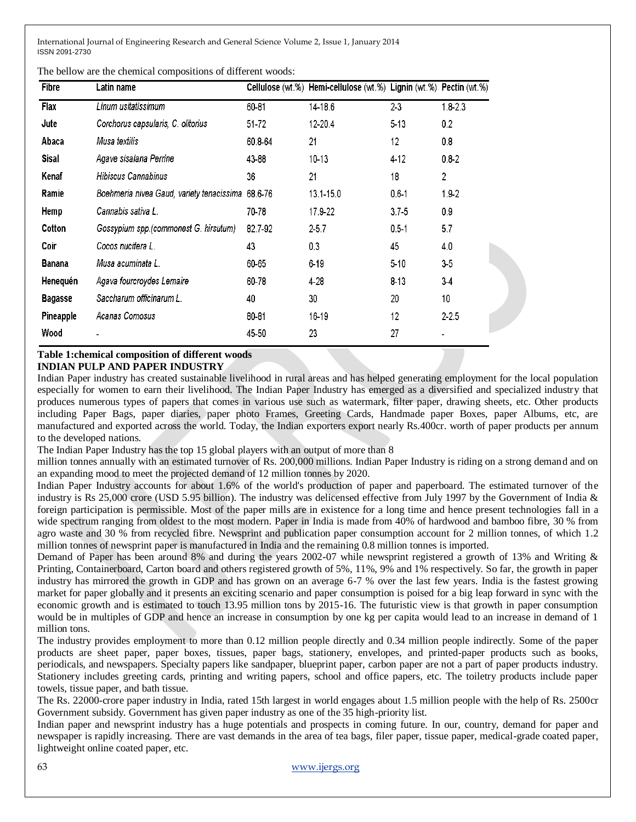| The bellow are the chemical compositions of different woods: |  |  |  |  |  |
|--------------------------------------------------------------|--|--|--|--|--|
|--------------------------------------------------------------|--|--|--|--|--|

| <b>Fibre</b>     | Latin name                                |         | Cellulose (wt.%) Hemi-cellulose (wt.%) Lignin (wt.%) Pectin (wt.%) |           |             |
|------------------|-------------------------------------------|---------|--------------------------------------------------------------------|-----------|-------------|
| Flax             | Linum usitatissimum                       | 60-81   | 14-18.6                                                            | $2 - 3$   | $1.8 - 2.3$ |
| Jute             | Corchorus capsularis, C. olitorius        | 51-72   | 12-20.4                                                            | $5 - 13$  | 0.2         |
| Abaca            | Musa textilis                             | 60.8-64 | 21                                                                 | 12        | 0.8         |
| <b>Sisal</b>     | Agave sisalana Perrine                    | 43-88   | $10 - 13$                                                          | $4 - 12$  | $0.8 - 2$   |
| Kenaf            | Hibiscus Cannabinus                       | 36      | 21                                                                 | 18        | 2           |
| Ramie            | Boehmeria nivea Gaud, variety tenacissima | 68.6-76 | 13.1-15.0                                                          | $0.6 - 1$ | $1.9 - 2$   |
| Hemp             | Cannabis sativa L.                        | 70-78   | 17.9-22                                                            | $3.7 - 5$ | 0.9         |
| Cotton           | Gossypium spp.(commonest G. hirsutum)     | 82.7-92 | $2 - 5.7$                                                          | $0.5 - 1$ | 5.7         |
| Coir             | Cocos nucifera L.                         | 43      | 0.3                                                                | 45        | 4.0         |
| Banana           | Musa acuminata L.                         | 60-65   | $6 - 19$                                                           | $5 - 10$  | $3-5$       |
| Henequén         | Agava fourcroydes Lemaire                 | 60-78   | 4-28                                                               | $8 - 13$  | $3-4$       |
| <b>Bagasse</b>   | Saccharum officinarum L.                  | 40      | 30                                                                 | 20        | 10          |
| <b>Pineapple</b> | Acanas Comosus                            | 80-81   | 16-19                                                              | 12        | $2 - 2.5$   |
| Wood             |                                           | 45-50   | 23                                                                 | 27        |             |

#### **Table 1:chemical composition of different woods**

#### **INDIAN PULP AND PAPER INDUSTRY**

Indian Paper industry has created sustainable livelihood in rural areas and has helped generating employment for the local population especially for women to earn their livelihood. The Indian Paper Industry has emerged as a diversified and specialized industry that produces numerous types of papers that comes in various use such as watermark, filter paper, drawing sheets, etc. Other products including Paper Bags, paper diaries, paper photo Frames, Greeting Cards, Handmade paper Boxes, paper Albums, etc, are manufactured and exported across the world. Today, the Indian exporters export nearly Rs.400cr. worth of paper products per annum to the developed nations.

The Indian Paper Industry has the top 15 global players with an output of more than 8

million tonnes annually with an estimated turnover of Rs. 200,000 millions. Indian Paper Industry is riding on a strong demand and on an expanding mood to meet the projected demand of 12 million tonnes by 2020.

Indian Paper Industry accounts for about 1.6% of the world's production of paper and paperboard. The estimated turnover of the industry is Rs 25,000 crore (USD 5.95 billion). The industry was delicensed effective from July 1997 by the Government of India & foreign participation is permissible. Most of the paper mills are in existence for a long time and hence present technologies fall in a wide spectrum ranging from oldest to the most modern. Paper in India is made from 40% of hardwood and bamboo fibre, 30 % from agro waste and 30 % from recycled fibre. Newsprint and publication paper consumption account for 2 million tonnes, of which 1.2 million tonnes of newsprint paper is manufactured in India and the remaining 0.8 million tonnes is imported.

Demand of Paper has been around 8% and during the years 2002-07 while newsprint registered a growth of 13% and Writing & Printing, Containerboard, Carton board and others registered growth of 5%, 11%, 9% and 1% respectively. So far, the growth in paper industry has mirrored the growth in GDP and has grown on an average 6-7 % over the last few years. India is the fastest growing market for paper globally and it presents an exciting scenario and paper consumption is poised for a big leap forward in sync with the economic growth and is estimated to touch 13.95 million tons by 2015-16. The futuristic view is that growth in paper consumption would be in multiples of GDP and hence an increase in consumption by one kg per capita would lead to an increase in demand of 1 million tons.

The industry provides employment to more than 0.12 million people directly and 0.34 million people indirectly. Some of the paper products are sheet paper, paper boxes, tissues, paper bags, stationery, envelopes, and printed-paper products such as books, periodicals, and newspapers. Specialty papers like sandpaper, blueprint paper, carbon paper are not a part of paper products industry. Stationery includes greeting cards, printing and writing papers, school and office papers, etc. The toiletry products include paper towels, tissue paper, and bath tissue.

The Rs. 22000-crore paper industry in India, rated 15th largest in world engages about 1.5 million people with the help of Rs. 2500cr Government subsidy. Government has given paper industry as one of the 35 high-priority list.

Indian paper and newsprint industry has a huge potentials and prospects in coming future. In our, country, demand for paper and newspaper is rapidly increasing. There are vast demands in the area of tea bags, filer paper, tissue paper, medical-grade coated paper, lightweight online coated paper, etc.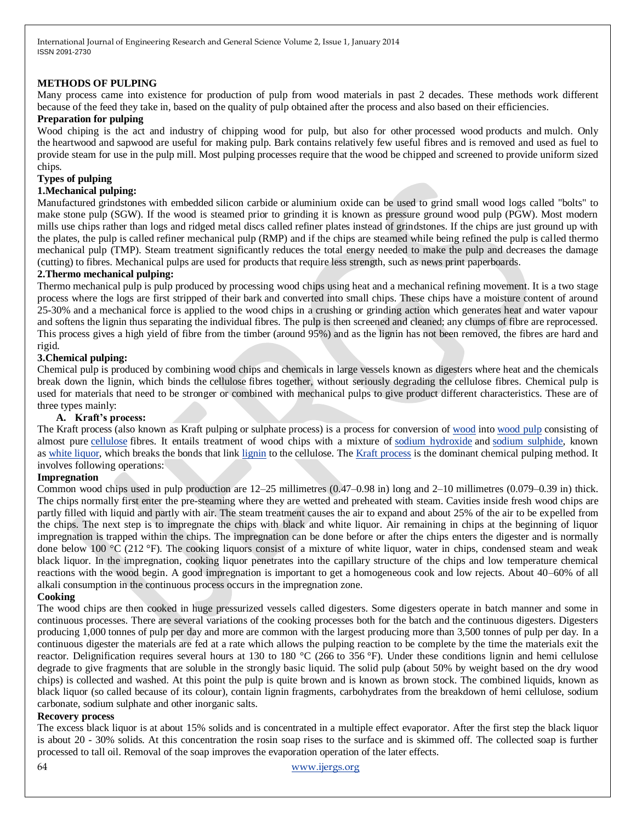## **METHODS OF PULPING**

Many process came into existence for production of pulp from wood materials in past 2 decades. These methods work different because of the feed they take in, based on the quality of pulp obtained after the process and also based on their efficiencies.

## **Preparation for pulping**

Wood chiping is the act and industry of chipping wood for pulp, but also for other [processed wood](http://en.wikipedia.org/wiki/Wood_processing) products and [mulch.](http://en.wikipedia.org/wiki/Mulch) Only the [heartwood](http://en.wikipedia.org/wiki/Heartwood) and [sapwood](http://en.wikipedia.org/wiki/Sapwood_(wood)) are useful for making pulp. [Bark](http://en.wikipedia.org/wiki/Bark) contains relatively few useful fibres and is removed and used as fuel to provide steam for use in the pulp mill. Most pulping processes require that the wood be chipped and screened to provide uniform sized chips.

#### **Types of pulping**

#### **1.Mechanical pulping:**

Manufactured [grindstones](http://en.wikipedia.org/wiki/Grindstone) with embedded [silicon carbide](http://en.wikipedia.org/wiki/Silicon_carbide) or [aluminium oxide](http://en.wikipedia.org/wiki/Aluminum_oxide) can be used to grind small wood logs called "bolts" to make stone pulp (SGW). If the wood is steamed prior to grinding it is known as pressure ground wood pulp (PGW). Most modern mills use chips rather than logs and ridged metal discs called refiner plates instead of grindstones. If the chips are just ground up with the plates, the pulp is called refiner mechanical pulp (RMP) and if the chips are steamed while being refined the pulp is called thermo mechanical pulp (TMP). Steam treatment significantly reduces the total energy needed to make the pulp and decreases the damage (cutting) to fibres. Mechanical pulps are used for products that require less strength, such as [news print](http://en.wikipedia.org/wiki/Newsprint) [paperboards.](http://en.wikipedia.org/wiki/Paperboard)

## **2.Thermo mechanical pulping:**

Thermo mechanical pulp is pulp produced by processing [wood chips](http://en.wikipedia.org/wiki/Wood_chip) using heat and a mechanical refining movement. It is a two stage process where the logs are first stripped of their [bark](http://en.wikipedia.org/wiki/Bark) and converted into small chips. These chips have a moisture content of around 25-30% and a mechanical force is applied to the wood chips in a crushing or grinding action which generates heat and water vapour and softens the [lignin](http://en.wikipedia.org/wiki/Lignin) thus separating the individual fibres. The pulp is then screened and cleaned; any clumps of fibre are reprocessed. This process gives a high yield of fibre from the [timber](http://en.wikipedia.org/wiki/Timber) (around 95%) and as the lignin has not been removed, the fibres are hard and rigid.

#### **3.Chemical pulping:**

Chemical pulp is produced by combining wood chips and chemicals in large vessels known as [digesters](http://en.wikipedia.org/wiki/Digester) where heat and the chemicals break down the lignin, which binds the [cellulose](http://en.wikipedia.org/wiki/Cellulose) fibres together, without seriously degrading the [cellulose fibres.](http://en.wikipedia.org/wiki/Cellulose_fibre) Chemical pulp is used for materials that need to be stronger or combined with mechanical pulps to give product different characteristics. These are of three types mainly:

## **A. Kraft's process:**

The Kraft process (also known as Kraft pulping or sulphate process) is a process for conversion of [wood](http://en.wikipedia.org/wiki/Wood) into [wood pulp](http://en.wikipedia.org/wiki/Wood_pulp) consisting of almost pure [cellulose](http://en.wikipedia.org/wiki/Cellulose) fibres. It entails treatment of wood chips with a mixture of [sodium hydroxide](http://en.wikipedia.org/wiki/Sodium_hydroxide) and [sodium sulphide,](http://en.wikipedia.org/wiki/Sodium_sulfide) known as [white liquor,](http://en.wikipedia.org/wiki/White_liquor) which breaks the bonds that link [lignin](http://en.wikipedia.org/wiki/Lignin) to the cellulose. The [Kraft process](http://en.wikipedia.org/wiki/Kraft_process) is the dominant chemical pulping method. It involves following operations:

#### **Impregnation**

Common [wood chips](http://en.wikipedia.org/wiki/Wood_chips) used in pulp production are 12–25 millimetres (0.47–0.98 in) long and 2–10 millimetres (0.079–0.39 in) thick. The chips normally first enter the pre-steaming where they are wetted and preheated with [steam.](http://en.wikipedia.org/wiki/Steam) Cavities inside fresh wood chips are partly filled with liquid and partly with air. The steam treatment causes the air to expand and about 25% of the air to be expelled from the chips. The next step is to impregnate the chips with [black](http://en.wikipedia.org/wiki/Black_liquor) and [white liquor.](http://en.wikipedia.org/wiki/White_liquor) Air remaining in chips at the beginning of liquor impregnation is trapped within the chips. The impregnation can be done before or after the chips enters the digester and is normally done below 100 °C (212 °F). The cooking liquors consist of a mixture of white liquor, water in chips, condensed steam and weak black liquor. In the impregnation, cooking liquor penetrates into the capillary structure of the chips and low temperature chemical reactions with the wood begin. A good impregnation is important to get a homogeneous cook and low rejects. About 40–60% of all alkali consumption in the continuous process occurs in the impregnation zone.

#### **Cooking**

The wood chips are then cooked in huge pressurized vessels called [digesters.](http://en.wikipedia.org/wiki/Digester) Some digesters operate in batch manner and some in continuous processes. There are several variations of the cooking processes both for the batch and the continuous digesters. Digesters producing 1,000 tonnes of pulp per day and more are common with the largest producing more than 3,500 tonnes of pulp per day. In a continuous digester the materials are fed at a rate which allows the pulping reaction to be complete by the time the materials exit the reactor. Delignification requires several hours at 130 to 180 °C (266 to 356 °F). Under these conditions lignin and [hemi cellulose](http://en.wikipedia.org/wiki/Hemicellulose) degrade to give fragments that are soluble in the strongly basic liquid. The solid pulp (about 50% by weight based on the dry wood chips) is collected and washed. At this point the pulp is quite brown and is known as brown stock. The combined liquids, known as black liquor (so called because of its colour), contain lignin fragments, [carbohydrates](http://en.wikipedia.org/wiki/Carbohydrates) from the breakdown of hemi cellulose, [sodium](http://en.wikipedia.org/wiki/Sodium_carbonate)  [carbonate,](http://en.wikipedia.org/wiki/Sodium_carbonate) [sodium sulphate](http://en.wikipedia.org/wiki/Sodium_sulfate) and other inorganic salts.

## **Recovery process**

The excess black liquor is at about 15% solids and is concentrated in a [multiple effect evaporator.](http://en.wikipedia.org/wiki/Evaporator#Multiple-effect_evaporators) After the first step the black liquor is about 20 - 30% solids. At this concentration the [rosin](http://en.wikipedia.org/wiki/Rosin) soap rises to the surface and is [skimmed](http://en.wikipedia.org/wiki/Skimmer_%28machine%29) off. The collected soap is further processed to [tall oil.](http://en.wikipedia.org/wiki/Tall_oil) Removal of the soap improves the evaporation operation of the later effects.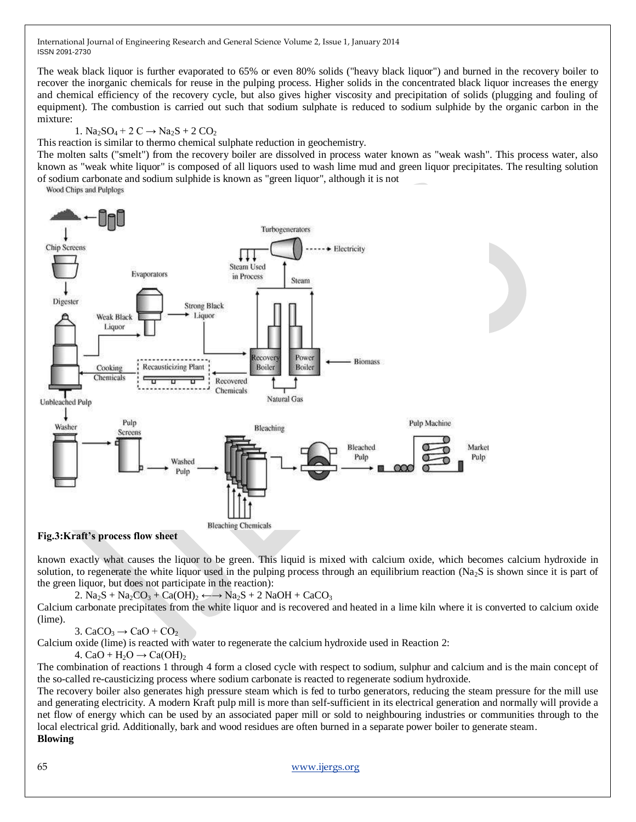The weak black liquor is further evaporated to 65% or even 80% solids ("heavy black liquor") and burned in the [recovery boiler](http://en.wikipedia.org/wiki/Recovery_boiler) to recover the inorganic chemicals for reuse in the pulping process. Higher solids in the concentrated black liquor increases the energy and chemical efficiency of the recovery cycle, but also gives higher viscosity and precipitation of solids (plugging and fouling of equipment). The combustion is carried out such that sodium sulphate is [reduced](http://en.wikipedia.org/wiki/Redox) to sodium sulphide by the organic carbon in the mixture:

$$
1.\ Na_2SO_4+2\:C\to Na_2S+2\:CO_2
$$

This reaction is similar t[o thermo chemical sulphate reduction](http://en.wikipedia.org/wiki/Thermochemical_sulfate_reduction) in geochemistry.

The molten salts ("smelt") from the recovery boiler are dissolved in process water known as "weak wash". This process water, also known as "weak white liquor" is composed of all liquors used to wash lime mud and [green liquor](http://en.wikipedia.org/wiki/Green_liquor) precipitates. The resulting solution of sodium carbonate and sodium sulphide is known as "green liquor", although it is not

Wood Chips and Pulplogs



#### **Fig.3:Kraft's process flow sheet**

known exactly what causes the liquor to be green. This liquid is mixed with [calcium oxide,](http://en.wikipedia.org/wiki/Calcium_oxide) which becomes [calcium hydroxide](http://en.wikipedia.org/wiki/Calcium_hydroxide) in solution, to regenerate the white liquor used in the pulping process through an equilibrium reaction (Na<sub>2</sub>S is shown since it is part of the green liquor, but does not participate in the reaction):

2.  $Na_2S + Na_2CO_3 + Ca(OH)_2 \longleftrightarrow Na_2S + 2 NaOH + CaCO_3$ 

[Calcium carbonate](http://en.wikipedia.org/wiki/Calcium_carbonate) precipitates from the white liquor and is recovered and heated in a [lime kiln](http://en.wikipedia.org/wiki/Lime_kiln) where it is converted t[o calcium oxide](http://en.wikipedia.org/wiki/Calcium_oxide) (lime).

$$
3. CaCO3 \rightarrow CaO + CO2
$$

Calcium oxide (lime) is reacted with water to regenerate the calcium hydroxide used in Reaction 2:

4.  $CaO + H<sub>2</sub>O \rightarrow Ca(OH)<sub>2</sub>$ 

The combination of reactions 1 through 4 form a closed cycle with respect to sodium, sulphur and calcium and is the main concept of the so-called re-causticizing process where [sodium carbonate](http://en.wikipedia.org/wiki/Sodium_carbonate) is reacted to regenerat[e sodium hydroxide.](http://en.wikipedia.org/wiki/Sodium_hydroxide)

The recovery boiler also generates high pressure steam which is fed to turbo generators, reducing the steam pressure for the mill use and generatin[g electricity.](http://en.wikipedia.org/wiki/Electricity) A modern Kraft pulp mill is more than self-sufficient in its electrical generation and normally will provide a net flow of energy which can be used by an associated paper mill or sold to neighbouring industries or communities through to the local electrical grid. Additionally, bark and wood residues are often burned in a separate power boiler to generate steam. **Blowing**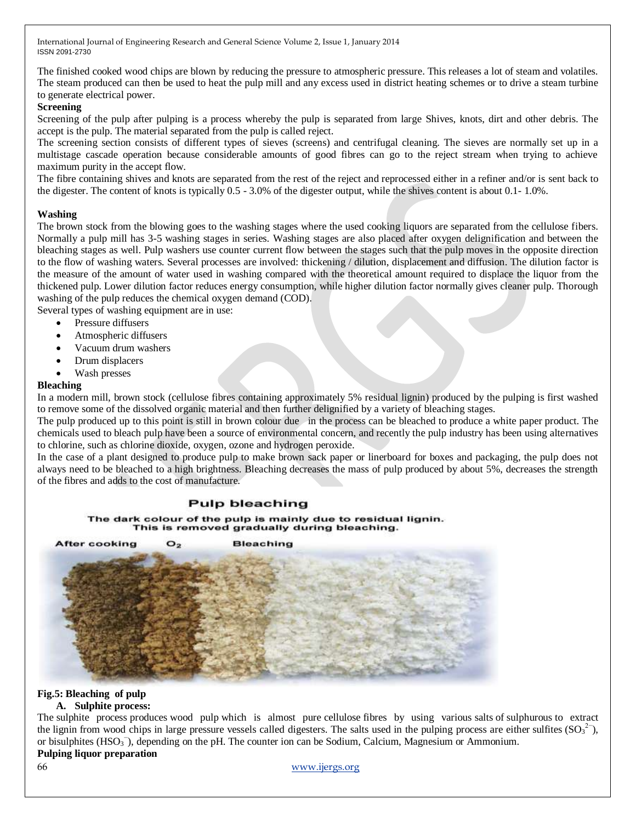The finished cooked wood chips are blown by reducing the pressure t[o atmospheric pressure.](http://en.wikipedia.org/wiki/Atmospheric_pressure) This releases a lot of steam and volatiles. The steam produced can then be used to heat the pulp mill and any excess used in [district heating](http://en.wikipedia.org/wiki/District_heating) schemes or to drive a [steam turbine](http://en.wikipedia.org/wiki/Steam_turbine) to generate electrical power.

#### **Screening**

Screening of the pulp after pulping is a process whereby the pulp is separated from large [Shives,](http://en.wikipedia.org/wiki/Shives_%28papermaking%29) [knots,](http://en.wikipedia.org/wiki/Knots_%28papermaking%29) dirt and other debris. The accept is the pulp. The material separated from the pulp is called reject.

The screening section consists of different types of [sieves](http://en.wikipedia.org/wiki/Sieve) (screens) and centrifugal cleaning. The sieves are normally set up in a multistage cascade operation because considerable amounts of good fibres can go to the reject stream when trying to achieve maximum purity in the accept flow.

The fibre containing shives and knots are separated from the rest of the reject and reprocessed either in a refiner and/or is sent back to the digester. The content of knots is typically 0.5 - 3.0% of the digester output, while the shives content is about 0.1- 1.0%.

## **Washing**

The brown stock from the blowing goes to the washing stages where the used cooking liquors are separated from the cellulose fibers. Normally a pulp mill has 3-5 washing stages in series. Washing stages are also placed after oxygen delignification and between the bleaching stages as well. Pulp washers use counter current flow between the stages such that the pulp moves in the opposite direction to the flow of washing waters. Several processes are involved: [thickening](http://en.wikipedia.org/wiki/Thickening) [/ dilution,](http://en.wikipedia.org/wiki/Concentration) [displacement](http://en.wikipedia.org/wiki/Displacement_%28fluid%29) and [diffusion.](http://en.wikipedia.org/wiki/Diffusion) The dilution factor is the measure of the amount of water used in washing compared with the theoretical amount required to displace the liquor from the thickened pulp. Lower dilution factor reduces energy consumption, while higher dilution factor normally gives cleaner pulp. Thorough washing of the pulp reduces the chemical oxygen demand [\(COD\)](http://en.wikipedia.org/wiki/Chemical_oxygen_demand).

Several types of washing equipment are in use:

- Pressure diffusers
- Atmospheric diffusers
- Vacuum drum washers
- Drum displacers
- Wash presses

#### **Bleaching**

In a modern mill, brown stock (cellulose fibres containing approximately 5% residual lignin) produced by the pulping is first washed to remove some of the dissolved organic material and then further delignified by a variety of [bleaching](http://en.wikipedia.org/wiki/Bleaching_of_wood_pulp) stages.

The pulp produced up to this point is still in brown colour due in the process can be [bleached](http://en.wikipedia.org/wiki/Bleaching_of_wood_pulp) to produce a [white paper](http://en.wikipedia.org/wiki/White_paper) product. The chemicals used to bleach pulp have been a source of environmental concern, and recently the pulp industry has been using alternatives to [chlorine,](http://en.wikipedia.org/wiki/Chlorine) such as [chlorine dioxide,](http://en.wikipedia.org/wiki/Chlorine_dioxide) [oxygen,](http://en.wikipedia.org/wiki/Oxygen) [ozone](http://en.wikipedia.org/wiki/Ozone) and [hydrogen peroxide.](http://en.wikipedia.org/wiki/Hydrogen_peroxide)

In the case of a plant designed to produce pulp to make brown sack paper or linerboard for boxes and packaging, the pulp does not always need to be bleached to a high brightness. Bleaching decreases the mass of pulp produced by about 5%, decreases the strength of the fibres and adds to the cost of manufacture.

## **Pulp bleaching**

#### The dark colour of the pulp is mainly due to residual lignin. This is removed gradually during bleaching.



## **Fig.5: Bleaching of pulp**

## **A. Sulphite process:**

The sulphite process produces [wood pulp](http://en.wikipedia.org/wiki/Wood_pulp) which is almost pure [cellulose](http://en.wikipedia.org/wiki/Cellulose) fibres by using various [salts](http://en.wikipedia.org/wiki/Salt) of sulphurous to extract the [lignin](http://en.wikipedia.org/wiki/Lignin) from wood chips in large pressure vessels called [digesters.](http://en.wikipedia.org/wiki/Digester) The salts used in the pulping process are either [sulfites](http://en.wikipedia.org/wiki/Sulfite)  $(SO<sub>3</sub><sup>2</sup>$ ), or bisulphites (HSO<sub>3</sub><sup>-</sup>), depending on the pH. The counter ion can be Sodium, Calcium, Magnesium or Ammonium. **Pulping liquor preparation**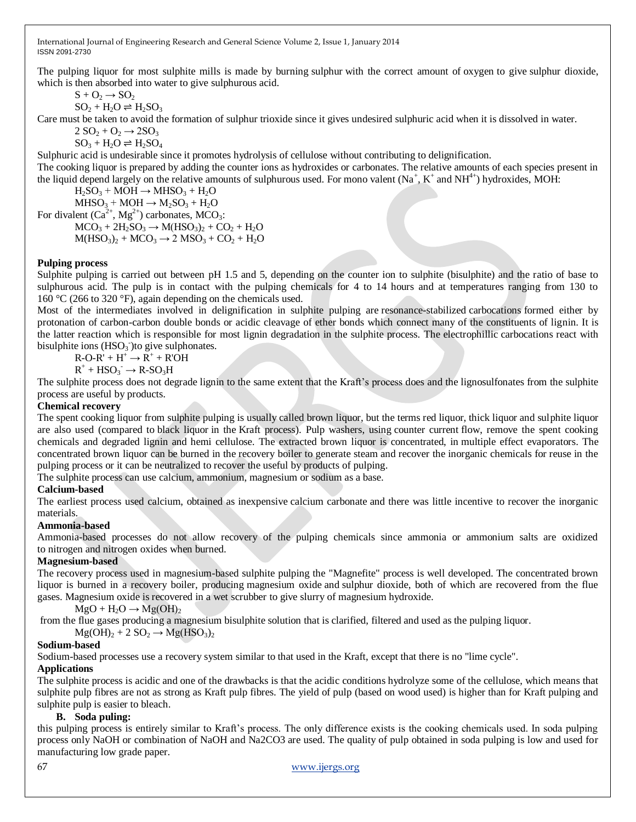The pulping liquor for most sulphite mills is made by burning [sulphur](http://en.wikipedia.org/wiki/Sulfur) with the correct amount of [oxygen](http://en.wikipedia.org/wiki/Oxygen) to give [sulphur dioxide,](http://en.wikipedia.org/wiki/Sulfur_dioxide) which is then absorbed into water to give [sulphurous acid.](http://en.wikipedia.org/wiki/Sulfurous_acid)

 $S + O_2 \rightarrow SO_2$ 

 $SO<sub>2</sub> + H<sub>2</sub>O \rightleftharpoons H<sub>2</sub>SO<sub>3</sub>$ 

Care must be taken to avoid the formation of [sulphur trioxide](http://en.wikipedia.org/wiki/Sulfur_trioxide) since it gives undesired [sulphuric acid](http://en.wikipedia.org/wiki/Sulfuric_acid) when it is dissolved in water.

 $2$  SO<sub>2</sub> + O<sub>2</sub>  $\rightarrow$  2SO<sub>3</sub>

 $SO_3 + H_2O \rightleftharpoons H_2SO_4$ 

Sulphuric acid is undesirable since it promotes hydrolysis of cellulose without contributing to delignification.

The cooking liquor is prepared by adding the counter ions as hydroxides or carbonates. The relative amounts of each species present in the liquid depend largely on the relative amounts of sulphurous used. For mono valent ( $Na^+$ ,  $K^+$  and  $NH^{4+}$ ) hydroxides, MOH:

 $H_2SO_3 + MOH \rightarrow MHSO_3 + H_2O$ 

 $MHSO<sub>3</sub> + MOH \rightarrow M<sub>2</sub>SO<sub>3</sub> + H<sub>2</sub>O$ For divalent  $(Ca^{2+}, Mg^{2+})$  carbonates, MCO<sub>3</sub>:

 $MCO<sub>3</sub> + 2H<sub>2</sub>SO<sub>3</sub> \rightarrow M(HSO<sub>3</sub>)<sub>2</sub> + CO<sub>2</sub> + H<sub>2</sub>O$  $M(HSO<sub>3</sub>)<sub>2</sub> + MCO<sub>3</sub> \rightarrow 2 MSO<sub>3</sub> + CO<sub>2</sub> + H<sub>2</sub>O$ 

## **Pulping process**

Sulphite pulping is carried out between pH 1.5 and 5, depending on the counter ion to sulphite (bisulphite) and the ratio of base to sulphurous acid. The pulp is in contact with the pulping chemicals for 4 to 14 hours and at temperatures ranging from 130 to 160 [°C](http://en.wikipedia.org/wiki/Celsius) (266 to 320 [°F\)](http://en.wikipedia.org/wiki/Fahrenheit), again depending on the chemicals used.

Most of the intermediates involved in delignification in sulphite pulping are [resonance-stabilized](http://en.wikipedia.org/wiki/Resonance_(chemistry)#Examples) [carbocations](http://en.wikipedia.org/wiki/Carbocations) formed either by protonation of carbon-carbon double bonds or acidic cleavage of ether bonds which connect many of the constituents of lignin. It is the latter reaction which is responsible for most lignin degradation in the sulphite process. The [electrophillic](http://en.wikipedia.org/wiki/Electrophilic) carbocations react with bisulphite ions  $(HSO_3^-)$ to give sulphonates.

 $R$ -O-R' + H<sup>+</sup>  $\rightarrow$  R<sup>+</sup> + R'OH

 $R^+$  + HSO<sub>3</sub>  $\rightarrow$  R-SO<sub>3</sub>H

The sulphite process does not degrade [lignin](http://en.wikipedia.org/wiki/Lignin) to the same extent that the [Kraft's process](http://en.wikipedia.org/wiki/Kraft_process) does and the [lignosulfonates](http://en.wikipedia.org/wiki/Lignosulfonate) from the sulphite process are useful [by products.](http://en.wikipedia.org/wiki/Byproduct)

## **Chemical recovery**

The spent cooking liquor from sulphite pulping is usually called brown liquor, but the terms red liquor, thick liquor and sulphite liquor are also used (compared to [black liquor](http://en.wikipedia.org/wiki/Black_liquor) in the [Kraft process\)](http://en.wikipedia.org/wiki/Kraft_process). Pulp washers, using [counter current](http://en.wikipedia.org/wiki/Countercurrent_exchange) flow, remove the spent cooking chemicals and degraded lignin and hemi cellulose. The extracted brown liquor is concentrated, in [multiple effect evaporators.](http://en.wikipedia.org/wiki/Evaporator#Multiple-effect_evaporators) The concentrated brown liquor can be burned in the [recovery boiler](http://en.wikipedia.org/wiki/Recovery_boiler) to generate steam and recover the inorganic chemicals for reuse in the pulping process or it can be neutralized to recover the useful by products of pulping.

The sulphite process can use [calcium,](http://en.wikipedia.org/wiki/Calcium) [ammonium,](http://en.wikipedia.org/wiki/Ammonium) [magnesium](http://en.wikipedia.org/wiki/Magnesium) or [sodium](http://en.wikipedia.org/wiki/Sodium) as a base.

## **Calcium-based**

The earliest process used calcium, obtained as inexpensive [calcium carbonate](http://en.wikipedia.org/wiki/Calcium_carbonate) and there was little incentive to recover the inorganic materials.

## **Ammonia-based**

Ammonia-based processes do not allow recovery of the pulping chemicals since ammonia or ammonium salts are oxidized to [nitrogen](http://en.wikipedia.org/wiki/Nitrogen) and [nitrogen oxides](http://en.wikipedia.org/wiki/Nitrogen_oxides) when burned.

## **Magnesium-based**

The recovery process used in magnesium-based sulphite pulping the "Magnefite" process is well developed. The concentrated brown liquor is burned in a recovery boiler, producing [magnesium oxide](http://en.wikipedia.org/wiki/Magnesium_oxide) and [sulphur dioxide,](http://en.wikipedia.org/wiki/Sulfur_dioxide) both of which are recovered from the flue gases. Magnesium oxide is recovered in a wet [scrubber](http://en.wikipedia.org/wiki/Scrubber) to give [slurry](http://en.wiktionary.org/wiki/slurry#Noun) of [magnesium hydroxide.](http://en.wikipedia.org/wiki/Magnesium_hydroxide)

$$
\text{MgO} + \text{H}_2\text{O} \rightarrow \text{Mg}(\text{OH})_2
$$

from the [flue gases](http://en.wikipedia.org/wiki/Flue_gases) producing a magnesium bisulphite solution that is clarified, filtered and used as the pulping liquor.

 $Mg(OH)_{2} + 2 SO_{2} \rightarrow Mg(HSO_{3})_{2}$ 

## **Sodium-based**

Sodium-based processes use a recovery system similar to that used in the Kraft, except that there is no "lime cycle".

## **Applications**

The sulphite process is [acidic](http://en.wikipedia.org/wiki/Acidic) and one of the drawbacks is that the acidic conditions [hydrolyze](http://en.wikipedia.org/wiki/Hydrolysis) some of the cellulose, which means that sulphite pulp fibres are not as strong as Kraft pulp fibres. The [yield](http://en.wikipedia.org/wiki/Crop_yield) of pulp (based on wood used) is higher than for Kraft pulping and sulphite pulp is easier to [bleach.](http://en.wikipedia.org/wiki/Bleaching_of_wood_pulp)

## **B. Soda puling:**

this pulping process is entirely similar to Kraft's process. The only difference exists is the cooking chemicals used. In soda pulping process only NaOH or combination of NaOH and Na2CO3 are used. The quality of pulp obtained in soda pulping is low and used for manufacturing low grade paper.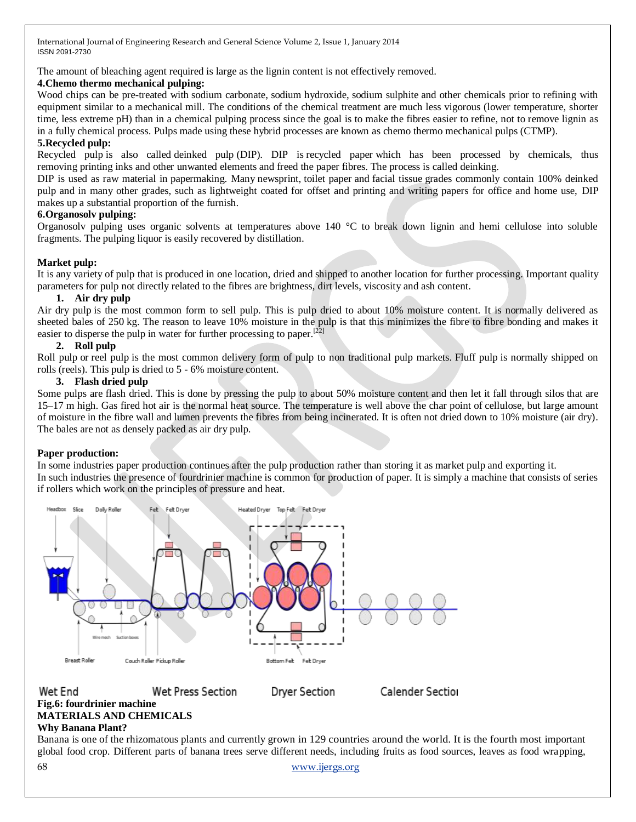The amount of bleaching agent required is large as the lignin content is not effectively removed.

## **4.Chemo thermo mechanical pulping:**

Wood chips can be pre-treated with [sodium carbonate,](http://en.wikipedia.org/wiki/Sodium_carbonate) [sodium hydroxide,](http://en.wikipedia.org/wiki/Sodium_hydroxide) [sodium sulphite](http://en.wikipedia.org/wiki/Sodium_sulfite) and other chemicals prior to refining with equipment similar to a mechanical mill. The conditions of the chemical treatment are much less vigorous (lower temperature, shorter time, less extreme [pH\)](http://en.wikipedia.org/wiki/PH) than in a chemical pulping process since the goal is to make the fibres easier to refine, not to remove lignin as in a fully chemical process. Pulps made using these hybrid processes are known as chemo thermo mechanical pulps (CTMP).

## **5.Recycled pulp:**

Recycled pulp is also called deinked pulp (DIP). DIP is [recycled paper](http://en.wikipedia.org/wiki/Paper_recycling) which has been processed by chemicals, thus removing [printing inks](http://en.wikipedia.org/wiki/Printing_ink) and other unwanted elements and freed the paper fibres. The process is called [deinking.](http://en.wikipedia.org/wiki/Deinking)

DIP is used as raw material in [papermaking.](http://en.wikipedia.org/wiki/Papermaking) Many [newsprint,](http://en.wikipedia.org/wiki/Newsprint) [toilet paper](http://en.wikipedia.org/wiki/Toilet_paper) and [facial tissue](http://en.wikipedia.org/wiki/Facial_tissue) grades commonly contain 100% deinked pulp and in many other grades, such as lightweight coated for offset and printing and writing papers for office and home use, DIP makes up a substantial proportion of the furnish.

## **6.Organosolv pulping:**

Organosolv pulping uses organic solvents at temperatures above 140 °C to break down lignin and hemi cellulose into soluble fragments. The pulping liquor is easily recovered by distillation.

## **Market pulp:**

It is any variety of pulp that is produced in one location, dried and shipped to another location for further processing. Important quality parameters for pulp not directly related to the fibres are [brightness,](http://en.wikipedia.org/wiki/Brightness) dirt levels, viscosity and ash content.

## **1. Air dry pulp**

Air dry pulp is the most common form to sell pulp. This is pulp dried to about 10% moisture content. It is normally delivered as sheeted bales of 250 kg. The reason to leave 10% moisture in the pulp is that this minimizes the fibre to fibre bonding and makes it easier to disperse the pulp in water for further processing to [paper.](http://en.wikipedia.org/wiki/Paper)<sup>[\[22\]](http://en.wikipedia.org/wiki/Pulp_(paper)#cite_note-marketpulp-22)</sup>

## **2. Roll pulp**

Roll pulp or reel pulp is the most common delivery form of pulp to non traditional pulp markets. [Fluff pulp](http://en.wikipedia.org/wiki/Fluff_pulp) is normally shipped on rolls (reels). This pulp is dried to 5 - 6% moisture content.

## **3. Flash dried pulp**

Some pulps are flash dried. This is done by pressing the pulp to about 50% moisture content and then let it fall through [silos](http://en.wikipedia.org/wiki/Silo) that are 15–17 m high. Gas fired hot air is the normal heat source. The temperature is well above the [char point](http://en.wikipedia.org/wiki/Charring) of [cellulose,](http://en.wikipedia.org/wiki/Cellulose) but large amount of moisture in the [fibre wall](http://en.wikipedia.org/wiki/Cell_wall) and [lumen](http://en.wikipedia.org/wiki/Lumen_(anatomy)) prevents the fibres from being incinerated. It is often not dried down to 10% moisture (air dry). The bales are not as densely packed as air dry pulp.

## **Paper production:**

In some industries paper production continues after the pulp production rather than storing it as market pulp and exporting it. In such industries the presence of fourdrinier machine is common for production of paper. It is simply a machine that consists of series if rollers which work on the principles of pressure and heat.



#### Wet End Wet Press Section **Fig.6: fourdrinier machine MATERIALS AND CHEMICALS**

**Why Banana Plant?**

68 [www.ijergs.org](http://www.ijergs.org/) Banana is one of the rhizomatous plants and currently grown in 129 countries around the world. It is the fourth most important global food crop. Different parts of banana trees serve different needs, including fruits as food sources, leaves as food wrapping,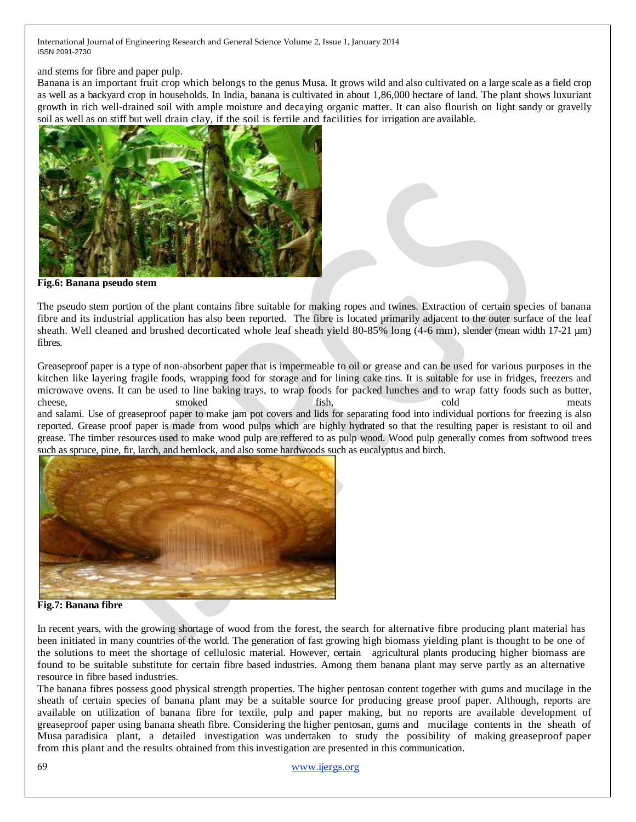and stems for fibre and paper pulp.

Banana is an important fruit crop which belongs to the genus Musa. It grows wild and also cultivated on a large scale as a field crop as well as a backyard crop in households. In India, banana is cultivated in about 1,86,000 hectare of land. The plant shows luxuriant growth in rich well-drained soil with ample moisture and decaying organic matter. It can also flourish on light sandy or gravelly soil as well as on stiff but well drain clay, if the soil is fertile and facilities for irrigation are available.



**Fig.6: Banana pseudo stem**

The pseudo stem portion of the plant contains fibre suitable for making ropes and twines. Extraction of certain species of banana fibre and its industrial application has also been reported. The fibre is located primarily adjacent to the outer surface of the leaf sheath. Well cleaned and brushed decorticated whole leaf sheath yield 80-85% long (4-6 mm), slender (mean width 17-21  $\mu$ m) fibres.

Greaseproof paper is a type of non-absorbent paper that is impermeable to oil or grease and can be used for various purposes in the kitchen like layering fragile foods, wrapping food for storage and for lining cake tins. It is suitable for use in fridges, freezers and microwave ovens. It can be used to line baking trays, to wrap foods for packed lunches and to wrap fatty foods such as butter, cheese, smoked fish, cold meats meats and salami. Use of greaseproof paper to make jam pot covers and lids for separating food into individual portions for freezing is also reported. Grease proof paper is made from wood pulps which are highly hydrated so that the resulting paper is resistant to oil and grease. The timber resources used to make wood pulp are reffered to as pulp wood. Wood pulp generally comes from softwood trees such as spruce, pine, fir, larch, and hemlock, and also some hardwoods such as eucalyptus and birch.



**Fig.7: Banana fibre**

In recent years, with the growing shortage of wood from the forest, the search for alternative fibre producing plant material has been initiated in many countries of the world. The generation of fast growing high biomass yielding plant is thought to be one of the solutions to meet the shortage of cellulosic material. However, certain agricultural plants producing higher biomass are found to be suitable substitute for certain fibre based industries. Among them banana plant may serve partly as an alternative resource in fibre based industries.

The banana fibres possess good physical strength properties. The higher pentosan content together with gums and mucilage in the sheath of certain species of banana plant may be a suitable source for producing grease proof paper. Although, reports are available on utilization of banana fibre for textile, pulp and paper making, but no reports are available development of greaseproof paper using banana sheath fibre. Considering the higher pentosan, gums and mucilage contents in the sheath of Musa paradisica plant, a detailed investigation was undertaken to study the possibility of making greaseproof paper from this plant and the results obtained from this investigation are presented in this communication.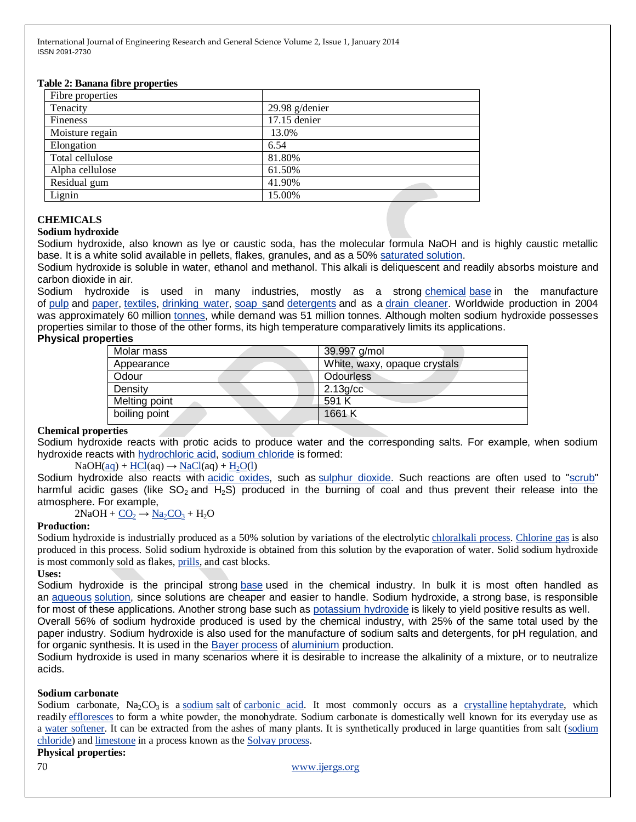#### **Table 2: Banana fibre properties**

| Fibre properties |                |
|------------------|----------------|
| Tenacity         | 29.98 g/denier |
| Fineness         | 17.15 denier   |
| Moisture regain  | 13.0%          |
| Elongation       | 6.54           |
| Total cellulose  | 81.80%         |
| Alpha cellulose  | 61.50%         |
| Residual gum     | 41.90%         |
| Lignin           | 15.00%         |

## **CHEMICALS**

## **Sodium hydroxide**

Sodium hydroxide, also known as lye or caustic soda, has the molecular formula NaOH and is highly caustic metallic base. It is a white solid available in pellets, flakes, granules, and as a 50% [saturated solution.](http://en.wikipedia.org/wiki/Saturated_solution)

Sodium hydroxide is soluble in water, ethanol and methanol. This alkali is deliquescent and readily absorbs moisture and carbon dioxide in air.

Sodium hydroxide is used in many industries, mostly as a strong [chemical](http://en.wikipedia.org/wiki/Chemical_compound) [base](http://en.wikipedia.org/wiki/PH) in the manufacture of [pulp](http://en.wikipedia.org/wiki/Wood_pulp) and [paper,](http://en.wikipedia.org/wiki/Paper) [textiles,](http://en.wikipedia.org/wiki/Textile) [drinking water,](http://en.wikipedia.org/wiki/Drinking_water) [soap sa](http://en.wikipedia.org/wiki/Soap)nd [detergents](http://en.wikipedia.org/wiki/Detergent) and as a [drain cleaner.](http://en.wikipedia.org/wiki/Drain_cleaner) Worldwide production in 2004 was approximately 60 million [tonnes,](http://en.wikipedia.org/wiki/Tonne) while demand was 51 million tonnes. Although molten sodium hydroxide possesses properties similar to those of the other forms, its high temperature comparatively limits its applications.

#### **Physical properties**

| Molar mass    | 39.997 g/mol                 |
|---------------|------------------------------|
| Appearance    | White, waxy, opaque crystals |
| Odour         | <b>Odourless</b>             |
| Density       | 2.13g/cc                     |
| Melting point | 591 K                        |
| boiling point | 1661 K                       |

## **Chemical properties**

Sodium hydroxide reacts with protic acids to produce water and the corresponding salts. For example, when sodium hydroxide reacts wit[h hydrochloric acid,](http://en.wikipedia.org/wiki/Hydrochloric_acid) [sodium chloride](http://en.wikipedia.org/wiki/Sodium_chloride) is formed:

## $NaOH(aq) + HCl(aq) \rightarrow NaCl(aq) + H<sub>2</sub>O(l)$  $NaOH(aq) + HCl(aq) \rightarrow NaCl(aq) + H<sub>2</sub>O(l)$  $NaOH(aq) + HCl(aq) \rightarrow NaCl(aq) + H<sub>2</sub>O(l)$  $NaOH(aq) + HCl(aq) \rightarrow NaCl(aq) + H<sub>2</sub>O(l)$  $NaOH(aq) + HCl(aq) \rightarrow NaCl(aq) + H<sub>2</sub>O(l)$  $NaOH(aq) + HCl(aq) \rightarrow NaCl(aq) + H<sub>2</sub>O(l)$  $NaOH(aq) + HCl(aq) \rightarrow NaCl(aq) + H<sub>2</sub>O(l)$  $NaOH(aq) + HCl(aq) \rightarrow NaCl(aq) + H<sub>2</sub>O(l)$  $NaOH(aq) + HCl(aq) \rightarrow NaCl(aq) + H<sub>2</sub>O(l)$

Sodium hydroxide also reacts with [acidic oxides,](http://en.wikipedia.org/wiki/Acid_anhydride) such as [sulphur dioxide.](http://en.wikipedia.org/wiki/Sulfur_dioxide) Such reactions are often used to ["scrub"](http://en.wikipedia.org/wiki/Scrubber) harmful acidic gases (like  $SO_2$  and  $H_2S$ ) produced in the burning of coal and thus prevent their release into the atmosphere. For example,

 $2NaOH + CO<sub>2</sub> \rightarrow Na<sub>2</sub>CO<sub>3</sub> + H<sub>2</sub>O$  $2NaOH + CO<sub>2</sub> \rightarrow Na<sub>2</sub>CO<sub>3</sub> + H<sub>2</sub>O$  $2NaOH + CO<sub>2</sub> \rightarrow Na<sub>2</sub>CO<sub>3</sub> + H<sub>2</sub>O$ 

## **Production:**

Sodium hydroxide is industrially produced as a 50% solution by variations of the electrolytic [chloralkali process.](http://en.wikipedia.org/wiki/Chloralkali_process) [Chlorine gas](http://en.wikipedia.org/wiki/Chlorine_gas) is also produced in this process. Solid sodium hydroxide is obtained from this solution by the evaporation of water. Solid sodium hydroxide is most commonly sold as flakes, [prills,](http://en.wikipedia.org/wiki/Prill) and cast blocks.

#### **Uses:**

Sodium hydroxide is the principal strong [base](http://en.wikipedia.org/wiki/Base_(chemistry)) used in the chemical industry. In bulk it is most often handled as an [aqueous](http://en.wikipedia.org/wiki/Aqueous) [solution,](http://en.wikipedia.org/wiki/Solution) since solutions are cheaper and easier to handle. Sodium hydroxide, a strong base, is responsible for most of these applications. Another strong base such as [potassium hydroxide](http://en.wikipedia.org/wiki/Potassium_hydroxide) is likely to yield positive results as well.

Overall 56% of sodium hydroxide produced is used by the chemical industry, with 25% of the same total used by the paper industry. Sodium hydroxide is also used for the manufacture of sodium salts and detergents, for pH regulation, and for organic synthesis. It is used in the [Bayer process](http://en.wikipedia.org/wiki/Bayer_process) of [aluminium](http://en.wikipedia.org/wiki/Aluminium) production.

Sodium hydroxide is used in many scenarios where it is desirable to increase the alkalinity of a mixture, or to neutralize acids.

## **Sodium carbonate**

Sodium carbonate, Na<sub>2</sub>CO<sub>3</sub> is a [sodium](http://en.wikipedia.org/wiki/Sodium) [salt](http://en.wikipedia.org/wiki/Salt_(chemistry)) of [carbonic acid.](http://en.wikipedia.org/wiki/Carbonic_acid) It most commonly occurs as a [crystalline](http://en.wikipedia.org/wiki/Crystal) [heptahydrate,](http://en.wikipedia.org/wiki/Heptahydrate) which readily [effloresces](http://en.wikipedia.org/wiki/Efflorescence) to form a white powder, the monohydrate. Sodium carbonate is domestically well known for its everyday use as a [water softener.](http://en.wikipedia.org/wiki/Water_softener) It can be extracted from the ashes of many plants. It is synthetically produced in large quantities from salt (sodium [chloride\)](http://en.wikipedia.org/wiki/Sodium_chloride) and [limestone](http://en.wikipedia.org/wiki/Limestone) in a process known as the [Solvay process.](http://en.wikipedia.org/wiki/Solvay_process)

## **Physical properties:**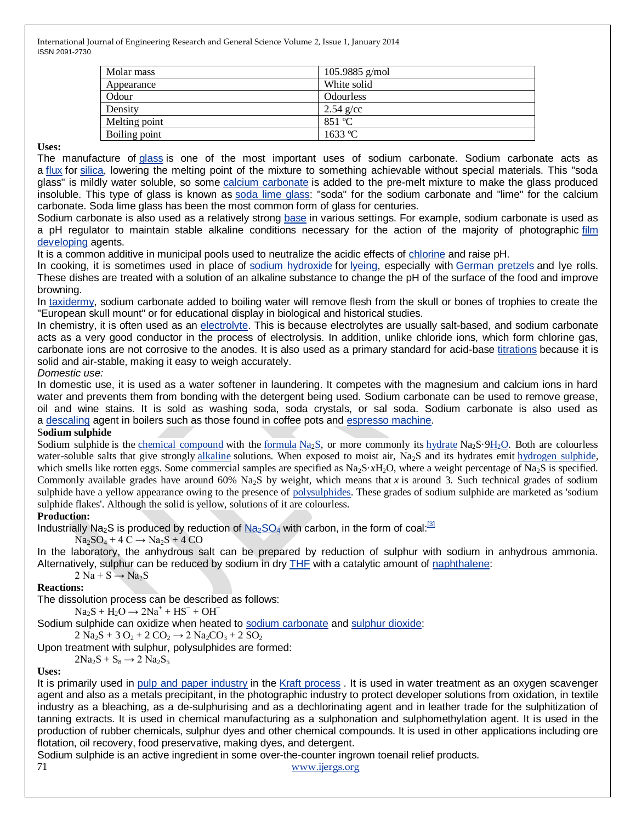| Molar mass    | 105.9885 $g/mol$  |
|---------------|-------------------|
| Appearance    | White solid       |
| Odour         | Odourless         |
| Density       | $2.54$ g/cc       |
| Melting point | $851 \text{ °C}$  |
| Boiling point | $1633 \text{ °C}$ |

**Uses:**

The manufacture of [glass](http://en.wikipedia.org/wiki/Glass) is one of the most important uses of sodium carbonate. Sodium carbonate acts as a [flux](http://en.wikipedia.org/wiki/Flux_(metallurgy)) for [silica,](http://en.wikipedia.org/wiki/Silica) lowering the melting point of the mixture to something achievable without special materials. This "soda glass" is mildly water soluble, so some [calcium carbonate](http://en.wikipedia.org/wiki/Calcium_carbonate) is added to the pre-melt mixture to make the glass produced insoluble. This type of glass is known as [soda lime glass:](http://en.wikipedia.org/wiki/Soda_lime_glass) "soda" for the sodium carbonate and "lime" for the calcium carbonate. Soda lime glass has been the most common form of glass for centuries.

Sodium carbonate is also used as a relatively strong [base](http://en.wikipedia.org/wiki/Base_(chemistry)) in various settings. For example, sodium carbonate is used as a pH regulator to maintain stable alkaline conditions necessary for the action of the majority of photographic [film](http://en.wikipedia.org/wiki/Developer_(photography))  [developing](http://en.wikipedia.org/wiki/Developer_(photography)) agents.

It is a common additive in municipal pools used to neutralize the acidic effects of [chlorine](http://en.wikipedia.org/wiki/Chlorine) and raise pH.

In cooking, it is sometimes used in place of [sodium hydroxide](http://en.wikipedia.org/wiki/Sodium_hydroxide) for [lyeing,](http://en.wikipedia.org/wiki/Lye) especially with [German pretzels](http://en.wikipedia.org/wiki/German_cuisine) and lye rolls. These dishes are treated with a solution of an alkaline substance to change the pH of the surface of the food and improve browning.

In [taxidermy,](http://en.wikipedia.org/wiki/Taxidermy) sodium carbonate added to boiling water will remove flesh from the skull or bones of trophies to create the "European skull mount" or for educational display in biological and historical studies.

In chemistry, it is often used as an [electrolyte.](http://en.wikipedia.org/wiki/Electrolyte) This is because electrolytes are usually salt-based, and sodium carbonate acts as a very good conductor in the process of electrolysis. In addition, unlike chloride ions, which form chlorine gas, carbonate ions are not corrosive to the anodes. It is also used as a primary standard for acid-base [titrations](http://en.wikipedia.org/wiki/Titration) because it is solid and air-stable, making it easy to weigh accurately.

## *Domestic use:*

In domestic use, it is used as a water softener in laundering. It competes with the magnesium and calcium ions in hard water and prevents them from bonding with the detergent being used. Sodium carbonate can be used to remove grease, oil and wine stains. It is sold as washing soda, soda crystals, or sal soda. Sodium carbonate is also used as a [descaling](http://en.wikipedia.org/wiki/Descaling) agent in boilers such as those found in coffee pots and [espresso machine.](http://en.wikipedia.org/wiki/Espresso_machine)

## S**odium sulphide**

Sodium sulphide is the [chemical compound](http://en.wikipedia.org/wiki/Chemical_compound) with the [formula](http://en.wikipedia.org/wiki/Chemical_formula)  $N_{a2}S$ , or more commonly its [hydrate](http://en.wikipedia.org/wiki/Hydrate)  $N_{a2}S \cdot 9H_2O$ . Both are colourless water-soluble salts that give strongly [alkaline](http://en.wikipedia.org/wiki/Base_(chemistry)) solutions. When exposed to moist air, Na<sub>2</sub>S and its hydrates emit [hydrogen sulphide,](http://en.wikipedia.org/wiki/Hydrogen_sulfide) which smells like rotten eggs. Some commercial samples are specified as  $Na<sub>2</sub>S<sub>2</sub> xH<sub>2</sub>O$ , where a weight percentage of  $Na<sub>2</sub>S$  is specified. Commonly available grades have around  $60\%$  Na<sub>2</sub>S by weight, which means that *x* is around 3. Such technical grades of sodium sulphide have a yellow appearance owing to the presence of [polysulphides.](http://en.wikipedia.org/wiki/Polysulfide) These grades of sodium sulphide are marketed as 'sodium sulphide flakes'. Although the solid is yellow, solutions of it are colourless.

## **Production:**

Industrially Na<sub>2</sub>S is produced by reduction of  $Na_2SO_4$  $Na_2SO_4$  $Na_2SO_4$  with carbon, in the form of coal:<sup>[\[3\]](http://en.wikipedia.org/wiki/Sodium_sulphide#cite_note-3)</sup>

## $Na<sub>2</sub>SO<sub>4</sub> + 4 C \rightarrow Na<sub>2</sub>S + 4 CO$

In the laboratory, the anhydrous salt can be prepared by reduction of sulphur with sodium in anhydrous ammonia. Alternatively, sulphur can be reduced by sodium in dry [THF](http://en.wikipedia.org/wiki/Tetrahydrofuran) with a catalytic amount of [naphthalene:](http://en.wikipedia.org/wiki/Naphthalene)

 $2 Na + S \rightarrow Na<sub>2</sub>S$ 

## **Reactions:**

The dissolution process can be described as follows:

 $\text{Na}_2\text{S} + \text{H}_2\text{O} \rightarrow 2\text{Na}^+ + \text{HS}^- + \text{OH}^-$ 

Sodium sulphide can oxidize when heated to [sodium carbonate](http://en.wikipedia.org/wiki/Sodium_carbonate) and [sulphur dioxide:](http://en.wikipedia.org/wiki/Sulfur_dioxide)

 $2 \text{ Na}_2\text{S} + 3 \text{ O}_2 + 2 \text{ CO}_2 \rightarrow 2 \text{ Na}_2\text{CO}_3 + 2 \text{ SO}_2$ 

Upon treatment with sulphur, polysulphides are formed:

## $2Na_2S + S_8 \rightarrow 2 Na_2S_5$

## **Uses:**

It is primarily used in [pulp and paper industry](http://en.wikipedia.org/wiki/Pulp_and_paper_industry) in the [Kraft process](http://en.wikipedia.org/wiki/Kraft_process) . It is used in water treatment as an oxygen scavenger agent and also as a metals precipitant, in the photographic industry to protect developer solutions from oxidation, in textile industry as a bleaching, as a de-sulphurising and as a dechlorinating agent and in leather trade for the sulphitization of tanning extracts. It is used in chemical manufacturing as a sulphonation and sulphomethylation agent. It is used in the production of rubber chemicals, sulphur dyes and other chemical compounds. It is used in other applications including ore flotation, oil recovery, food preservative, making dyes, and detergent.

Sodium sulphide is an active ingredient in some over-the-counter ingrown toenail relief products.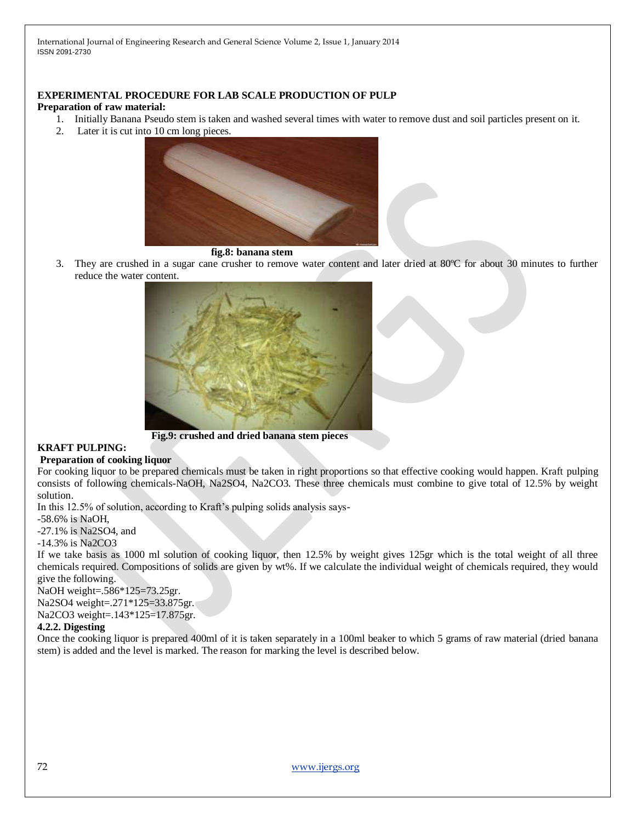## **EXPERIMENTAL PROCEDURE FOR LAB SCALE PRODUCTION OF PULP**

#### **Preparation of raw material:**

- 1. Initially Banana Pseudo stem is taken and washed several times with water to remove dust and soil particles present on it.
- 2. Later it is cut into 10 cm long pieces.



#### **fig.8: banana stem**

3. They are crushed in a sugar cane crusher to remove water content and later dried at 80ºC for about 30 minutes to further reduce the water content.



**Fig.9: crushed and dried banana stem pieces**

## **KRAFT PULPING:**

## **Preparation of cooking liquor**

For cooking liquor to be prepared chemicals must be taken in right proportions so that effective cooking would happen. Kraft pulping consists of following chemicals-NaOH, Na2SO4, Na2CO3. These three chemicals must combine to give total of 12.5% by weight solution.

In this 12.5% of solution, according to Kraft's pulping solids analysis says-

-58.6% is NaOH,

-27.1% is Na2SO4, and

## -14.3% is Na2CO3

If we take basis as 1000 ml solution of cooking liquor, then 12.5% by weight gives 125gr which is the total weight of all three chemicals required. Compositions of solids are given by wt%. If we calculate the individual weight of chemicals required, they would give the following.

NaOH weight=.586\*125=73.25gr.

Na2SO4 weight=.271\*125=33.875gr.

Na2CO3 weight=.143\*125=17.875gr.

## **4.2.2. Digesting**

Once the cooking liquor is prepared 400ml of it is taken separately in a 100ml beaker to which 5 grams of raw material (dried banana stem) is added and the level is marked. The reason for marking the level is described below.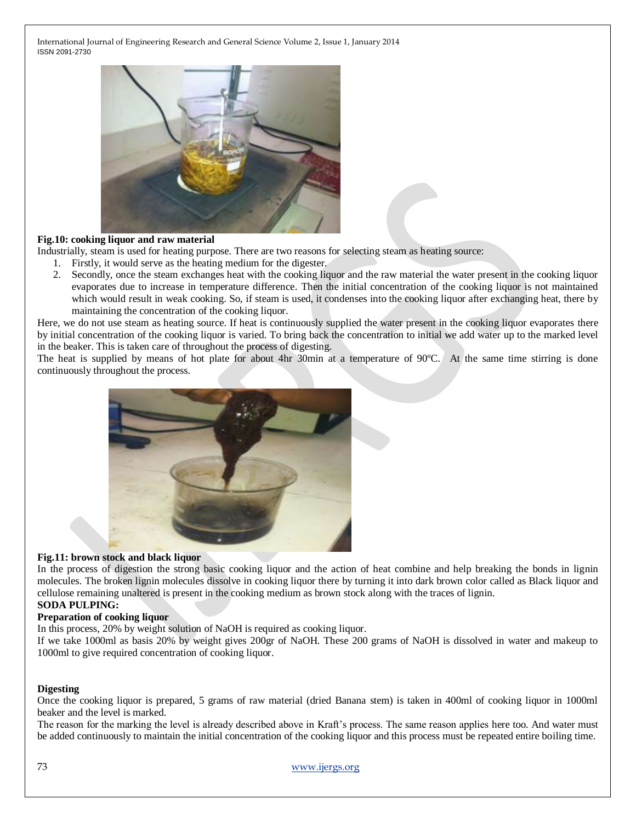

## **Fig.10: cooking liquor and raw material**

Industrially, steam is used for heating purpose. There are two reasons for selecting steam as heating source:

- 1. Firstly, it would serve as the heating medium for the digester.
- 2. Secondly, once the steam exchanges heat with the cooking liquor and the raw material the water present in the cooking liquor evaporates due to increase in temperature difference. Then the initial concentration of the cooking liquor is not maintained which would result in weak cooking. So, if steam is used, it condenses into the cooking liquor after exchanging heat, there by maintaining the concentration of the cooking liquor.

Here, we do not use steam as heating source. If heat is continuously supplied the water present in the cooking liquor evaporates there by initial concentration of the cooking liquor is varied. To bring back the concentration to initial we add water up to the marked level in the beaker. This is taken care of throughout the process of digesting.

The heat is supplied by means of hot plate for about 4hr 30min at a temperature of 90ºC. At the same time stirring is done continuously throughout the process.



## **Fig.11: brown stock and black liquor**

In the process of digestion the strong basic cooking liquor and the action of heat combine and help breaking the bonds in lignin molecules. The broken lignin molecules dissolve in cooking liquor there by turning it into dark brown color called as Black liquor and cellulose remaining unaltered is present in the cooking medium as brown stock along with the traces of lignin.

## **SODA PULPING:**

## **Preparation of cooking liquor**

In this process, 20% by weight solution of NaOH is required as cooking liquor.

If we take 1000ml as basis 20% by weight gives 200gr of NaOH. These 200 grams of NaOH is dissolved in water and makeup to 1000ml to give required concentration of cooking liquor.

## **Digesting**

Once the cooking liquor is prepared, 5 grams of raw material (dried Banana stem) is taken in 400ml of cooking liquor in 1000ml beaker and the level is marked.

The reason for the marking the level is already described above in Kraft's process. The same reason applies here too. And water must be added continuously to maintain the initial concentration of the cooking liquor and this process must be repeated entire boiling time.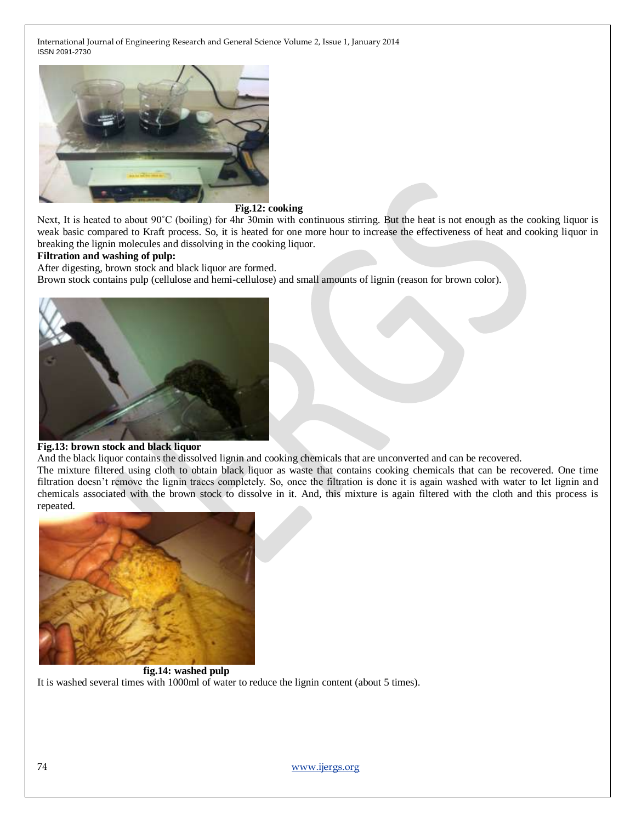

#### **Fig.12: cooking**

Next, It is heated to about 90°C (boiling) for 4hr 30min with continuous stirring. But the heat is not enough as the cooking liquor is weak basic compared to Kraft process. So, it is heated for one more hour to increase the effectiveness of heat and cooking liquor in breaking the lignin molecules and dissolving in the cooking liquor.

## **Filtration and washing of pulp:**

After digesting, brown stock and black liquor are formed.

Brown stock contains pulp (cellulose and hemi-cellulose) and small amounts of lignin (reason for brown color).



#### **Fig.13: brown stock and black liquor**

And the black liquor contains the dissolved lignin and cooking chemicals that are unconverted and can be recovered.

The mixture filtered using cloth to obtain black liquor as waste that contains cooking chemicals that can be recovered. One time filtration doesn't remove the lignin traces completely. So, once the filtration is done it is again washed with water to let lignin and chemicals associated with the brown stock to dissolve in it. And, this mixture is again filtered with the cloth and this process is repeated.



**fig.14: washed pulp** It is washed several times with 1000ml of water to reduce the lignin content (about 5 times).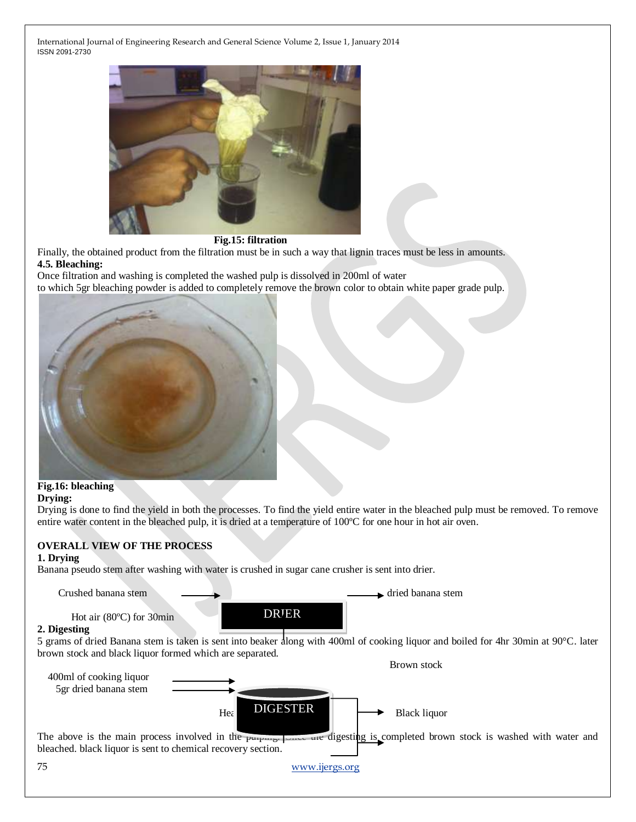

#### **Fig.15: filtration**

Finally, the obtained product from the filtration must be in such a way that lignin traces must be less in amounts. **4.5. Bleaching:**

Once filtration and washing is completed the washed pulp is dissolved in 200ml of water

to which 5gr bleaching powder is added to completely remove the brown color to obtain white paper grade pulp.



#### **Fig.16: bleaching Drying:**

Drying is done to find the yield in both the processes. To find the yield entire water in the bleached pulp must be removed. To remove entire water content in the bleached pulp, it is dried at a temperature of 100ºC for one hour in hot air oven.

## **OVERALL VIEW OF THE PROCESS**

## **1. Drying**

Banana pseudo stem after washing with water is crushed in sugar cane crusher is sent into drier.

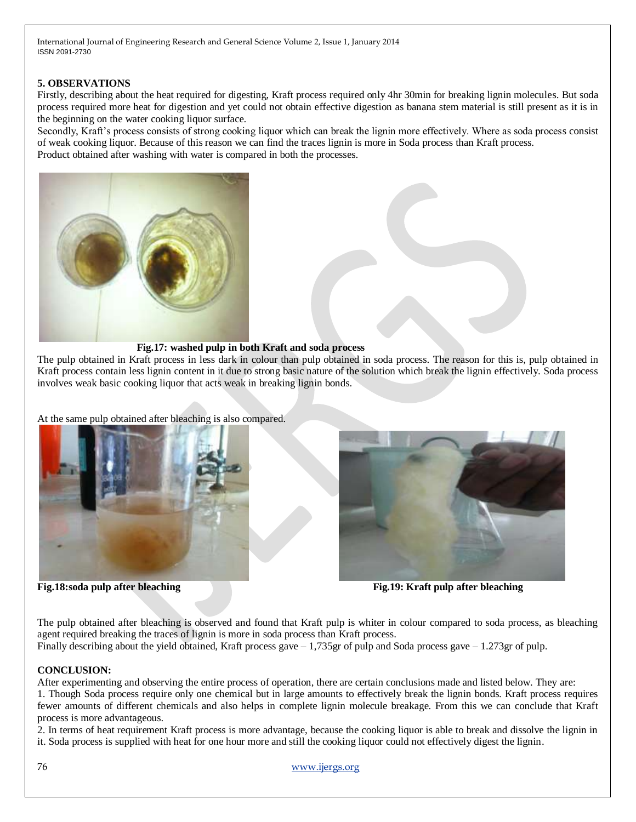## **5. OBSERVATIONS**

Firstly, describing about the heat required for digesting, Kraft process required only 4hr 30min for breaking lignin molecules. But soda process required more heat for digestion and yet could not obtain effective digestion as banana stem material is still present as it is in the beginning on the water cooking liquor surface.

Secondly, Kraft's process consists of strong cooking liquor which can break the lignin more effectively. Where as soda process consist of weak cooking liquor. Because of this reason we can find the traces lignin is more in Soda process than Kraft process. Product obtained after washing with water is compared in both the processes.



## **Fig.17: washed pulp in both Kraft and soda process**

The pulp obtained in Kraft process in less dark in colour than pulp obtained in soda process. The reason for this is, pulp obtained in Kraft process contain less lignin content in it due to strong basic nature of the solution which break the lignin effectively. Soda process involves weak basic cooking liquor that acts weak in breaking lignin bonds.

At the same pulp obtained after bleaching is also compared.





**Fig.18:soda pulp after bleaching Fig.19: Kraft pulp after bleaching**

The pulp obtained after bleaching is observed and found that Kraft pulp is whiter in colour compared to soda process, as bleaching agent required breaking the traces of lignin is more in soda process than Kraft process.

Finally describing about the yield obtained, Kraft process gave  $-1.735$ gr of pulp and Soda process gave  $-1.273$ gr of pulp.

## **CONCLUSION:**

After experimenting and observing the entire process of operation, there are certain conclusions made and listed below. They are: 1. Though Soda process require only one chemical but in large amounts to effectively break the lignin bonds. Kraft process requires fewer amounts of different chemicals and also helps in complete lignin molecule breakage. From this we can conclude that Kraft process is more advantageous.

2. In terms of heat requirement Kraft process is more advantage, because the cooking liquor is able to break and dissolve the lignin in it. Soda process is supplied with heat for one hour more and still the cooking liquor could not effectively digest the lignin.